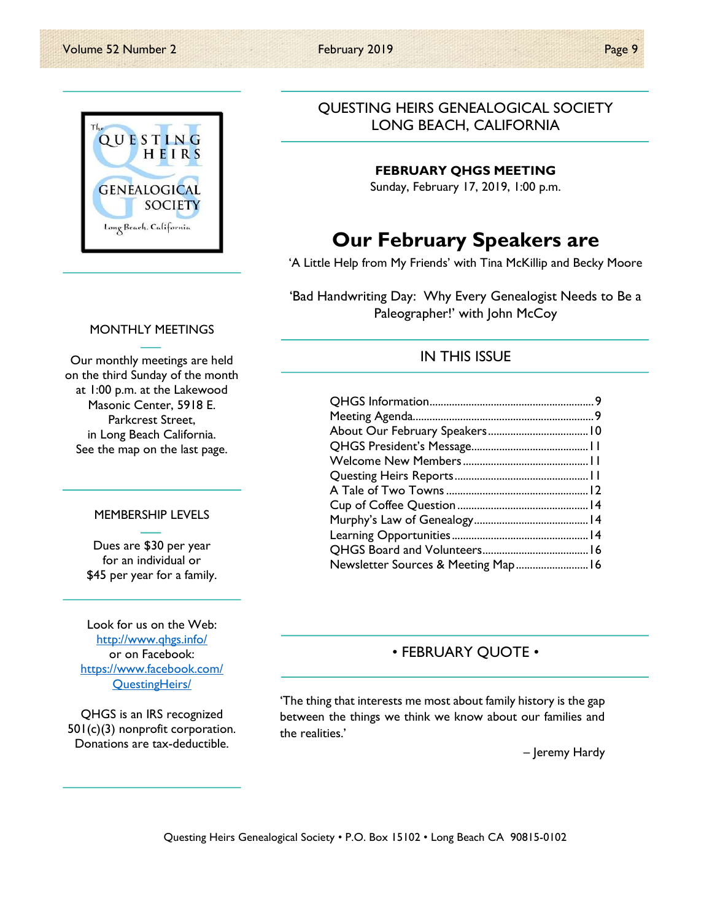

#### MONTHLY MEETINGS

Our monthly meetings are held on the third Sunday of the month at 1:00 p.m. at the Lakewood Masonic Center, 5918 E. Parkcrest Street, in Long Beach California. See the map on the last page.

#### MEMBERSHIP LEVELS

Dues are \$30 per year for an individual or \$45 per year for a family.

Look for us on the Web: http://www.qhgs.info/ or on Facebook: https://www.facebook.com/ QuestingHeirs/

QHGS is an IRS recognized 501(c)(3) nonprofit corporation. Donations are tax-deductible.

## QUESTING HEIRS GENEALOGICAL SOCIETY LONG BEACH, CALIFORNIA

#### FEBRUARY QHGS MEETING

Sunday, February 17, 2019, 1:00 p.m.

# Our February Speakers are

'A Little Help from My Friends' with Tina McKillip and Becky Moore

'Bad Handwriting Day: Why Every Genealogist Needs to Be a Paleographer!' with John McCoy

### IN THIS ISSUE

| Newsletter Sources & Meeting Map 16 |  |
|-------------------------------------|--|

## • FEBRUARY QUOTE •

'The thing that interests me most about family history is the gap between the things we think we know about our families and the realities.'

– Jeremy Hardy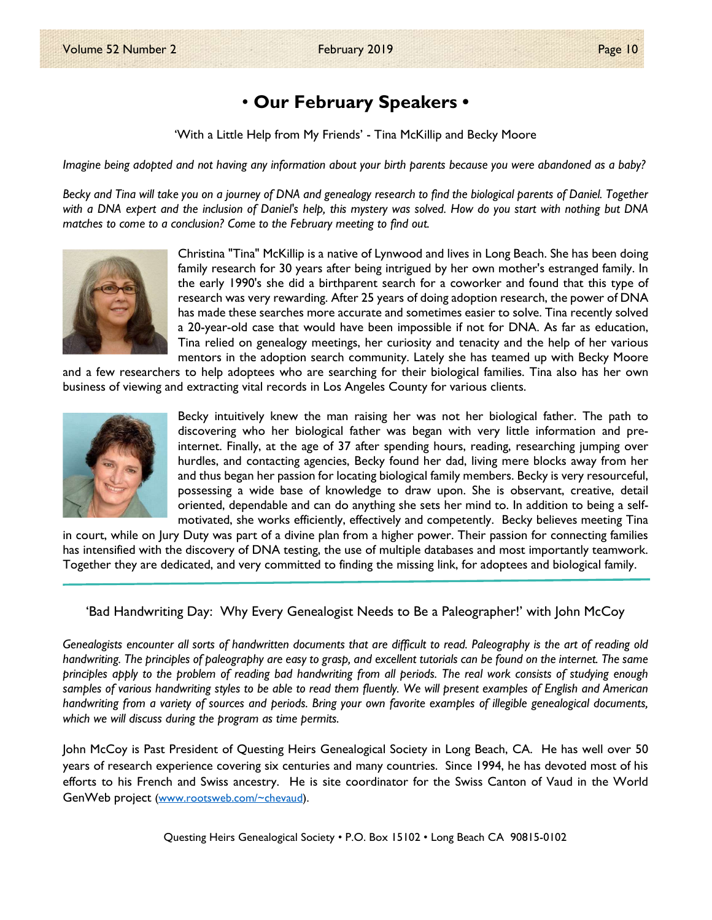# • Our February Speakers •

'With a Little Help from My Friends' - Tina McKillip and Becky Moore

Imagine being adopted and not having any information about your birth parents because you were abandoned as a baby?

Becky and Tina will take you on a journey of DNA and genealogy research to find the biological parents of Daniel. Together with a DNA expert and the inclusion of Daniel's help, this mystery was solved. How do you start with nothing but DNA matches to come to a conclusion? Come to the February meeting to find out.



Christina "Tina" McKillip is a native of Lynwood and lives in Long Beach. She has been doing family research for 30 years after being intrigued by her own mother's estranged family. In the early 1990's she did a birthparent search for a coworker and found that this type of research was very rewarding. After 25 years of doing adoption research, the power of DNA has made these searches more accurate and sometimes easier to solve. Tina recently solved a 20-year-old case that would have been impossible if not for DNA. As far as education, Tina relied on genealogy meetings, her curiosity and tenacity and the help of her various mentors in the adoption search community. Lately she has teamed up with Becky Moore

and a few researchers to help adoptees who are searching for their biological families. Tina also has her own business of viewing and extracting vital records in Los Angeles County for various clients.



Becky intuitively knew the man raising her was not her biological father. The path to discovering who her biological father was began with very little information and preinternet. Finally, at the age of 37 after spending hours, reading, researching jumping over hurdles, and contacting agencies, Becky found her dad, living mere blocks away from her and thus began her passion for locating biological family members. Becky is very resourceful, possessing a wide base of knowledge to draw upon. She is observant, creative, detail oriented, dependable and can do anything she sets her mind to. In addition to being a selfmotivated, she works efficiently, effectively and competently. Becky believes meeting Tina

in court, while on Jury Duty was part of a divine plan from a higher power. Their passion for connecting families has intensified with the discovery of DNA testing, the use of multiple databases and most importantly teamwork. Together they are dedicated, and very committed to finding the missing link, for adoptees and biological family.

'Bad Handwriting Day: Why Every Genealogist Needs to Be a Paleographer!' with John McCoy

Genealogists encounter all sorts of handwritten documents that are difficult to read. Paleography is the art of reading old handwriting. The principles of paleography are easy to grasp, and excellent tutorials can be found on the internet. The same principles apply to the problem of reading bad handwriting from all periods. The real work consists of studying enough samples of various handwriting styles to be able to read them fluently. We will present examples of English and American handwriting from a variety of sources and periods. Bring your own favorite examples of illegible genealogical documents, which we will discuss during the program as time permits.

John McCoy is Past President of Questing Heirs Genealogical Society in Long Beach, CA. He has well over 50 years of research experience covering six centuries and many countries. Since 1994, he has devoted most of his efforts to his French and Swiss ancestry. He is site coordinator for the Swiss Canton of Vaud in the World GenWeb project (www.rootsweb.com/~chevaud).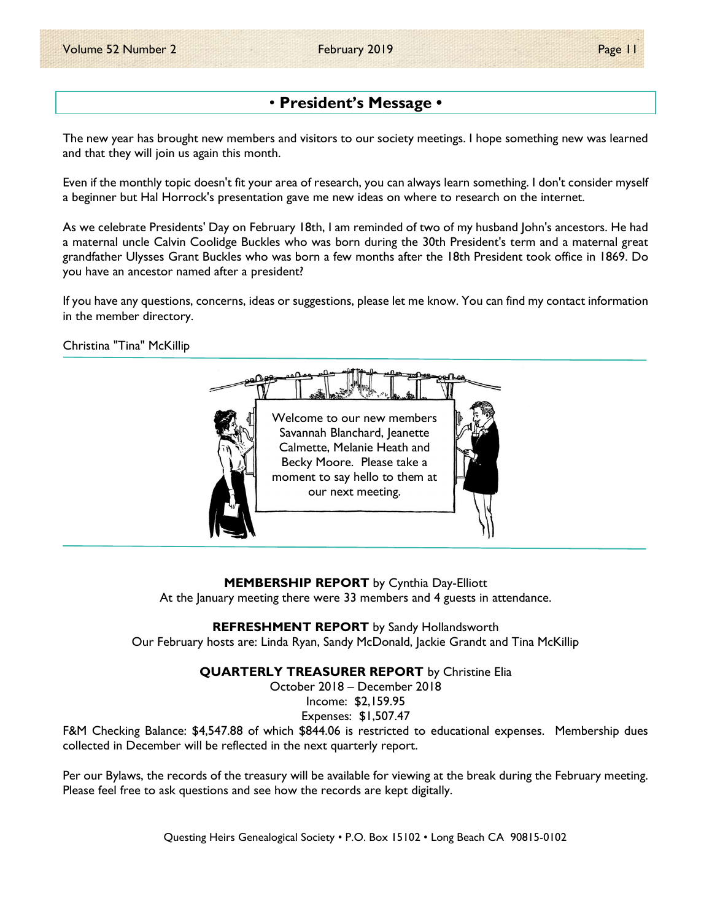# • President's Message •

The new year has brought new members and visitors to our society meetings. I hope something new was learned and that they will join us again this month.

Even if the monthly topic doesn't fit your area of research, you can always learn something. I don't consider myself a beginner but Hal Horrock's presentation gave me new ideas on where to research on the internet.

As we celebrate Presidents' Day on February 18th, I am reminded of two of my husband John's ancestors. He had a maternal uncle Calvin Coolidge Buckles who was born during the 30th President's term and a maternal great grandfather Ulysses Grant Buckles who was born a few months after the 18th President took office in 1869. Do you have an ancestor named after a president?

If you have any questions, concerns, ideas or suggestions, please let me know. You can find my contact information in the member directory.

Christina "Tina" McKillip



MEMBERSHIP REPORT by Cynthia Day-Elliott At the January meeting there were 33 members and 4 guests in attendance.

REFRESHMENT REPORT by Sandy Hollandsworth

Our February hosts are: Linda Ryan, Sandy McDonald, Jackie Grandt and Tina McKillip

QUARTERLY TREASURER REPORT by Christine Elia

October 2018 – December 2018

Income: \$2,159.95 Expenses: \$1,507.47

F&M Checking Balance: \$4,547.88 of which \$844.06 is restricted to educational expenses. Membership dues collected in December will be reflected in the next quarterly report.

Per our Bylaws, the records of the treasury will be available for viewing at the break during the February meeting. Please feel free to ask questions and see how the records are kept digitally.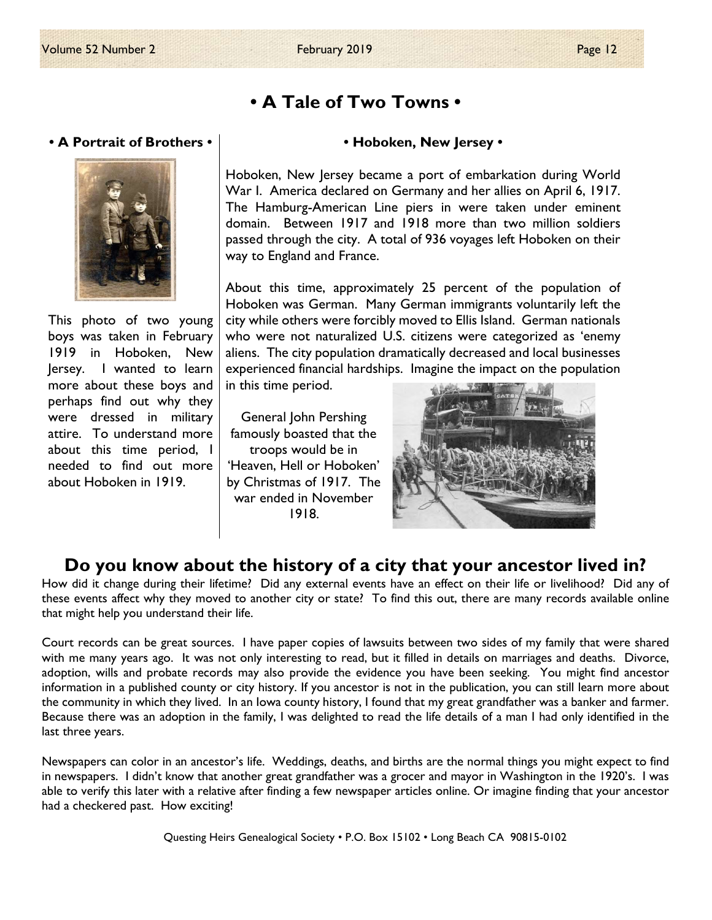# • A Tale of Two Towns •

#### • A Portrait of Brothers •



This photo of two young boys was taken in February 1919 in Hoboken, New Jersey. I wanted to learn more about these boys and perhaps find out why they were dressed in military attire. To understand more about this time period, I needed to find out more about Hoboken in 1919.

#### • Hoboken, New Jersey •

Hoboken, New Jersey became a port of embarkation during World War I. America declared on Germany and her allies on April 6, 1917. The Hamburg-American Line piers in were taken under eminent domain. Between 1917 and 1918 more than two million soldiers passed through the city. A total of 936 voyages left Hoboken on their way to England and France.

About this time, approximately 25 percent of the population of Hoboken was German. Many German immigrants voluntarily left the city while others were forcibly moved to Ellis Island. German nationals who were not naturalized U.S. citizens were categorized as 'enemy aliens. The city population dramatically decreased and local businesses experienced financial hardships. Imagine the impact on the population in this time period.

General John Pershing famously boasted that the troops would be in 'Heaven, Hell or Hoboken' by Christmas of 1917. The war ended in November 1918.



# Do you know about the history of a city that your ancestor lived in?

How did it change during their lifetime? Did any external events have an effect on their life or livelihood? Did any of these events affect why they moved to another city or state? To find this out, there are many records available online that might help you understand their life.

Court records can be great sources. I have paper copies of lawsuits between two sides of my family that were shared with me many years ago. It was not only interesting to read, but it filled in details on marriages and deaths. Divorce, adoption, wills and probate records may also provide the evidence you have been seeking. You might find ancestor information in a published county or city history. If you ancestor is not in the publication, you can still learn more about the community in which they lived. In an Iowa county history, I found that my great grandfather was a banker and farmer. Because there was an adoption in the family, I was delighted to read the life details of a man I had only identified in the last three years.

Newspapers can color in an ancestor's life. Weddings, deaths, and births are the normal things you might expect to find in newspapers. I didn't know that another great grandfather was a grocer and mayor in Washington in the 1920's. I was able to verify this later with a relative after finding a few newspaper articles online. Or imagine finding that your ancestor had a checkered past. How exciting!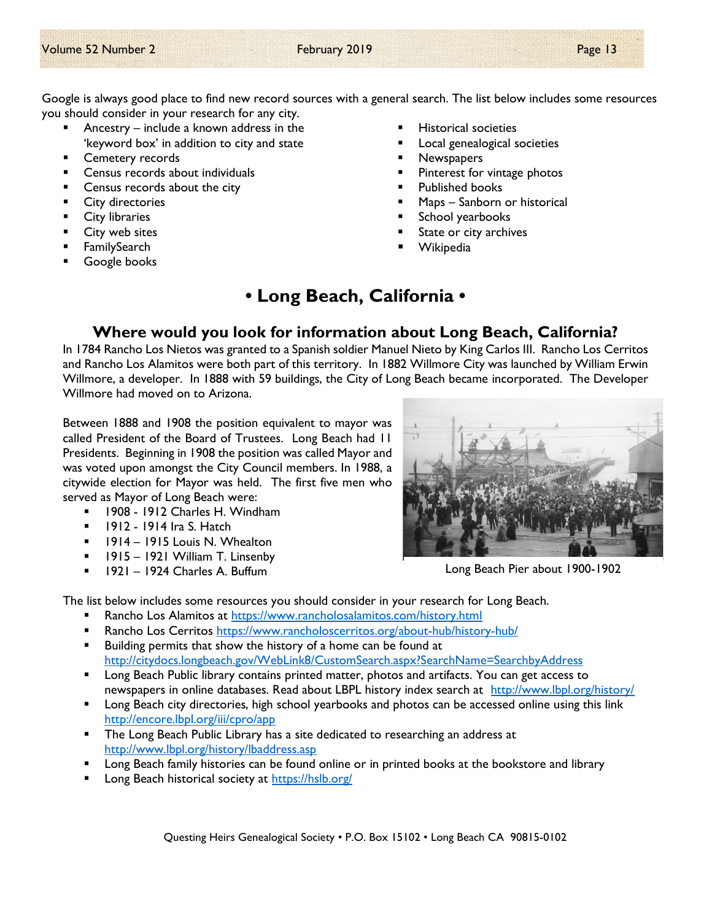Google is always good place to find new record sources with a general search. The list below includes some resources you should consider in your research for any city.

- Ancestry include a known address in the 'keyword box' in addition to city and state
- **Cemetery records**
- Census records about individuals
- Census records about the city
- **City directories**
- **City libraries**
- City web sites
- FamilySearch
- Google books
- Historical societies
- Local genealogical societies
- **Newspapers**
- Pinterest for vintage photos
- Published books
- Maps Sanborn or historical
- School yearbooks
- State or city archives
- Wikipedia

# • Long Beach, California •

# Where would you look for information about Long Beach, California?

In 1784 Rancho Los Nietos was granted to a Spanish soldier Manuel Nieto by King Carlos III. Rancho Los Cerritos and Rancho Los Alamitos were both part of this territory. In 1882 Willmore City was launched by William Erwin Willmore, a developer. In 1888 with 59 buildings, the City of Long Beach became incorporated. The Developer Willmore had moved on to Arizona.

Between 1888 and 1908 the position equivalent to mayor was called President of the Board of Trustees. Long Beach had 11 Presidents. Beginning in 1908 the position was called Mayor and was voted upon amongst the City Council members. In 1988, a citywide election for Mayor was held. The first five men who served as Mayor of Long Beach were:

- 1908 1912 Charles H. Windham
- **1912 1914 Ira S. Hatch**
- **1914 1915 Louis N. Whealton**
- 1915 1921 William T. Linsenby
- $1921 1924$  Charles A. Buffum



Long Beach Pier about 1900-1902

The list below includes some resources you should consider in your research for Long Beach.

- Rancho Los Alamitos at https://www.rancholosalamitos.com/history.html
- Rancho Los Cerritos https://www.rancholoscerritos.org/about-hub/history-hub/
- **Building permits that show the history of a home can be found at 4** http://citydocs.longbeach.gov/WebLink8/CustomSearch.aspx?SearchName=SearchbyAddress
- **Long Beach Public library contains printed matter, photos and artifacts. You can get access to** newspapers in online databases. Read about LBPL history index search at http://www.lbpl.org/history/
- **Long Beach city directories, high school yearbooks and photos can be accessed online using this link** http://encore.lbpl.org/iii/cpro/app
- **The Long Beach Public Library has a site dedicated to researching an address at 4** http://www.lbpl.org/history/lbaddress.asp
- Long Beach family histories can be found online or in printed books at the bookstore and library
- Long Beach historical society at https://hslb.org/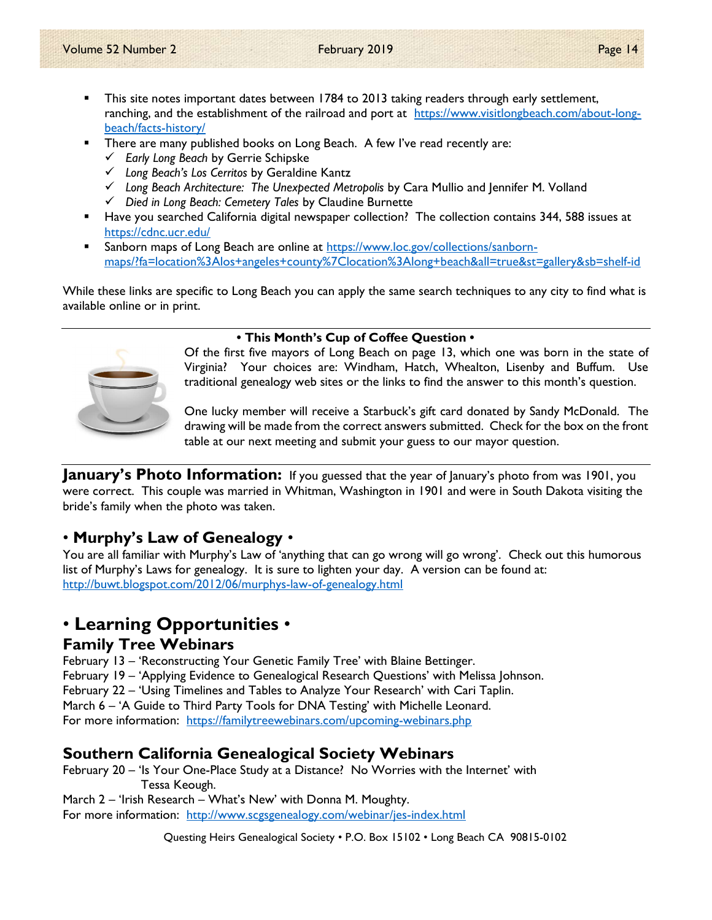- This site notes important dates between 1784 to 2013 taking readers through early settlement, ranching, and the establishment of the railroad and port at https://www.visitlongbeach.com/about-longbeach/facts-history/
- There are many published books on Long Beach. A few I've read recently are:
	- $\checkmark$  Early Long Beach by Gerrie Schipske
	- Long Beach's Los Cerritos by Geraldine Kantz
	- $\checkmark$  Long Beach Architecture: The Unexpected Metropolis by Cara Mullio and Jennifer M. Volland
	- $\checkmark$  Died in Long Beach: Cemetery Tales by Claudine Burnette
- Have you searched California digital newspaper collection? The collection contains 344, 588 issues at https://cdnc.ucr.edu/
- Sanborn maps of Long Beach are online at https://www.loc.gov/collections/sanbornmaps/?fa=location%3Alos+angeles+county%7Clocation%3Along+beach&all=true&st=gallery&sb=shelf-id

While these links are specific to Long Beach you can apply the same search techniques to any city to find what is available online or in print.



#### • This Month's Cup of Coffee Question •

Of the first five mayors of Long Beach on page 13, which one was born in the state of Virginia? Your choices are: Windham, Hatch, Whealton, Lisenby and Buffum. Use traditional genealogy web sites or the links to find the answer to this month's question.

One lucky member will receive a Starbuck's gift card donated by Sandy McDonald. The drawing will be made from the correct answers submitted. Check for the box on the front table at our next meeting and submit your guess to our mayor question.

**January's Photo Information:** If you guessed that the year of January's photo from was 1901, you were correct. This couple was married in Whitman, Washington in 1901 and were in South Dakota visiting the bride's family when the photo was taken.

# • Murphy's Law of Genealogy •

You are all familiar with Murphy's Law of 'anything that can go wrong will go wrong'. Check out this humorous list of Murphy's Laws for genealogy. It is sure to lighten your day. A version can be found at: http://buwt.blogspot.com/2012/06/murphys-law-of-genealogy.html

# • Learning Opportunities •

## Family Tree Webinars

February 13 – 'Reconstructing Your Genetic Family Tree' with Blaine Bettinger. February 19 – 'Applying Evidence to Genealogical Research Questions' with Melissa Johnson. February 22 – 'Using Timelines and Tables to Analyze Your Research' with Cari Taplin. March 6 – 'A Guide to Third Party Tools for DNA Testing' with Michelle Leonard. For more information: https://familytreewebinars.com/upcoming-webinars.php

# Southern California Genealogical Society Webinars

February 20 – 'Is Your One-Place Study at a Distance? No Worries with the Internet' with Tessa Keough.

March 2 – 'Irish Research – What's New' with Donna M. Moughty. For more information: http://www.scgsgenealogy.com/webinar/jes-index.html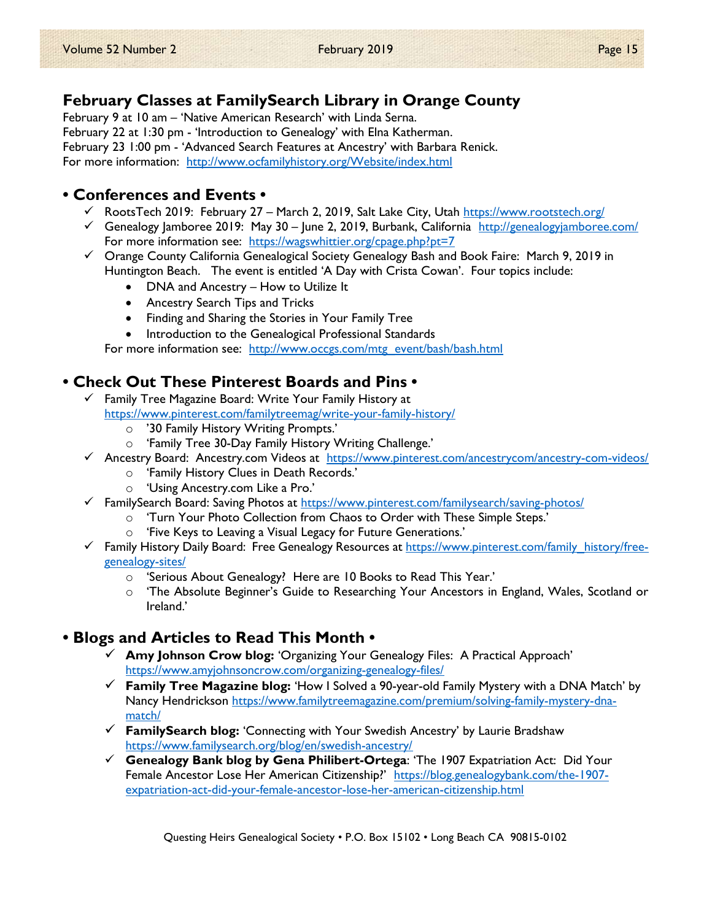# February Classes at FamilySearch Library in Orange County

February 9 at 10 am – 'Native American Research' with Linda Serna. February 22 at 1:30 pm - 'Introduction to Genealogy' with Elna Katherman. February 23 1:00 pm - 'Advanced Search Features at Ancestry' with Barbara Renick. For more information: http://www.ocfamilyhistory.org/Website/index.html

## • Conferences and Events •

- √ RootsTech 2019: February 27 March 2, 2019, Salt Lake City, Utah https://www.rootstech.org/
- Genealogy Jamboree 2019: May 30 June 2, 2019, Burbank, California http://genealogyjamboree.com/ For more information see: https://wagswhittier.org/cpage.php?pt=7
- $\checkmark$  Orange County California Genealogical Society Genealogy Bash and Book Faire: March 9, 2019 in Huntington Beach. The event is entitled 'A Day with Crista Cowan'. Four topics include:
	- DNA and Ancestry How to Utilize It
	- Ancestry Search Tips and Tricks
	- Finding and Sharing the Stories in Your Family Tree
	- Introduction to the Genealogical Professional Standards

For more information see: http://www.occgs.com/mtg\_event/bash/bash.html

# • Check Out These Pinterest Boards and Pins •

- $\checkmark$  Family Tree Magazine Board: Write Your Family History at https://www.pinterest.com/familytreemag/write-your-family-history/
	- o '30 Family History Writing Prompts.'
	- o 'Family Tree 30-Day Family History Writing Challenge.'
- Ancestry Board: Ancestry.com Videos at https://www.pinterest.com/ancestrycom/ancestry-com-videos/
	- o 'Family History Clues in Death Records.'
	- o 'Using Ancestry.com Like a Pro.'
- FamilySearch Board: Saving Photos at https://www.pinterest.com/familysearch/saving-photos/
	- o 'Turn Your Photo Collection from Chaos to Order with These Simple Steps.'
	- o 'Five Keys to Leaving a Visual Legacy for Future Generations.'
- Family History Daily Board: Free Genealogy Resources at https://www.pinterest.com/family\_history/freegenealogy-sites/
	- o 'Serious About Genealogy? Here are 10 Books to Read This Year.'
	- o 'The Absolute Beginner's Guide to Researching Your Ancestors in England, Wales, Scotland or Ireland.'

# • Blogs and Articles to Read This Month •

- $\checkmark$  Amy Johnson Crow blog: 'Organizing Your Genealogy Files: A Practical Approach' https://www.amyjohnsoncrow.com/organizing-genealogy-files/
- $\checkmark$  Family Tree Magazine blog: 'How I Solved a 90-year-old Family Mystery with a DNA Match' by Nancy Hendrickson https://www.familytreemagazine.com/premium/solving-family-mystery-dnamatch/
- $\checkmark$  FamilySearch blog: 'Connecting with Your Swedish Ancestry' by Laurie Bradshaw https://www.familysearch.org/blog/en/swedish-ancestry/
- Genealogy Bank blog by Gena Philibert-Ortega: 'The 1907 Expatriation Act: Did Your Female Ancestor Lose Her American Citizenship?' https://blog.genealogybank.com/the-1907expatriation-act-did-your-female-ancestor-lose-her-american-citizenship.html